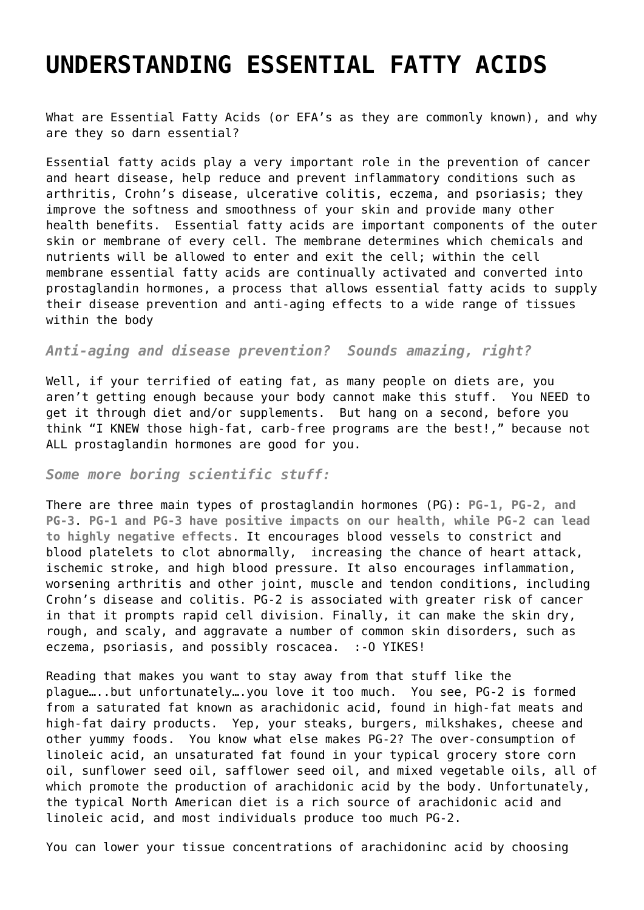## **[UNDERSTANDING ESSENTIAL FATTY ACIDS](https://realhealthandfitness.com/fitness/understanding-essential-fatty-acids/)**

What are Essential Fatty Acids (or EFA's as they are commonly known), and why are they so darn essential?

Essential fatty acids play a very important role in the prevention of cancer and heart disease, help reduce and prevent inflammatory conditions such as arthritis, Crohn's disease, ulcerative colitis, eczema, and psoriasis; they improve the softness and smoothness of your skin and provide many other health benefits. Essential fatty acids are important components of the outer skin or membrane of every cell. The membrane determines which chemicals and nutrients will be allowed to enter and exit the cell; within the cell membrane essential fatty acids are continually activated and converted into prostaglandin hormones, a process that allows essential fatty acids to supply their disease prevention and anti-aging effects to a wide range of tissues within the body

*Anti-aging and disease prevention? Sounds amazing, right?*

Well, if your terrified of eating fat, as many people on diets are, you aren't getting enough because your body cannot make this stuff. You NEED to get it through diet and/or supplements. But hang on a second, before you think "I KNEW those high-fat, carb-free programs are the best!," because not ALL prostaglandin hormones are good for you.

## *Some more boring scientific stuff:*

There are three main types of prostaglandin hormones (PG): **PG-1, PG-2, and PG-3**. **PG-1 and PG-3 have positive impacts on our health, while PG-2 can lead to highly negative effects**. It encourages blood vessels to constrict and blood platelets to clot abnormally, increasing the chance of heart attack, ischemic stroke, and high blood pressure. It also encourages inflammation, worsening arthritis and other joint, muscle and tendon conditions, including Crohn's disease and colitis. PG-2 is associated with greater risk of cancer in that it prompts rapid cell division. Finally, it can make the skin dry, rough, and scaly, and aggravate a number of common skin disorders, such as eczema, psoriasis, and possibly roscacea. :-O YIKES!

Reading that makes you want to stay away from that stuff like the plague…..but unfortunately….you love it too much. You see, PG-2 is formed from a saturated fat known as arachidonic acid, found in high-fat meats and high-fat dairy products. Yep, your steaks, burgers, milkshakes, cheese and other yummy foods. You know what else makes PG-2? The over-consumption of linoleic acid, an unsaturated fat found in your typical grocery store corn oil, sunflower seed oil, safflower seed oil, and mixed vegetable oils, all of which promote the production of arachidonic acid by the body. Unfortunately, the typical North American diet is a rich source of arachidonic acid and linoleic acid, and most individuals produce too much PG-2.

You can lower your tissue concentrations of arachidoninc acid by choosing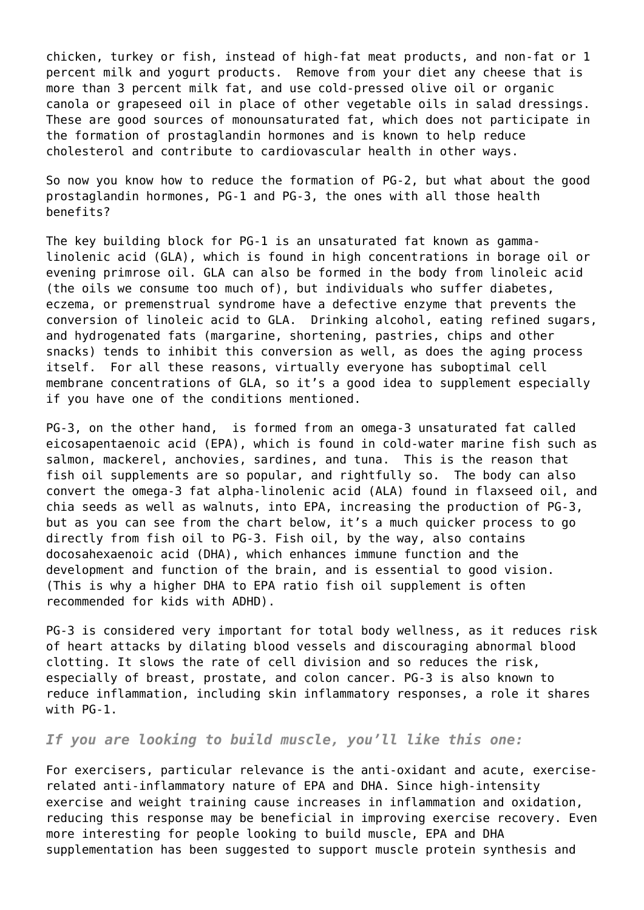chicken, turkey or fish, instead of high-fat meat products, and non-fat or 1 percent milk and yogurt products. Remove from your diet any cheese that is more than 3 percent milk fat, and use cold-pressed olive oil or organic canola or grapeseed oil in place of other vegetable oils in salad dressings. These are good sources of monounsaturated fat, which does not participate in the formation of prostaglandin hormones and is known to help reduce cholesterol and contribute to cardiovascular health in other ways.

So now you know how to reduce the formation of PG-2, but what about the good prostaglandin hormones, PG-1 and PG-3, the ones with all those health benefits?

The key building block for PG-1 is an unsaturated fat known as gammalinolenic acid (GLA), which is found in high concentrations in borage oil or evening primrose oil. GLA can also be formed in the body from linoleic acid (the oils we consume too much of), but individuals who suffer diabetes, eczema, or premenstrual syndrome have a defective enzyme that prevents the conversion of linoleic acid to GLA. Drinking alcohol, eating refined sugars, and hydrogenated fats (margarine, shortening, pastries, chips and other snacks) tends to inhibit this conversion as well, as does the aging process itself. For all these reasons, virtually everyone has suboptimal cell membrane concentrations of GLA, so it's a good idea to supplement especially if you have one of the conditions mentioned.

PG-3, on the other hand, is formed from an omega-3 unsaturated fat called eicosapentaenoic acid (EPA), which is found in cold-water marine fish such as salmon, mackerel, anchovies, sardines, and tuna. This is the reason that fish oil supplements are so popular, and rightfully so. The body can also convert the omega-3 fat alpha-linolenic acid (ALA) found in flaxseed oil, and chia seeds as well as walnuts, into EPA, increasing the production of PG-3, but as you can see from the chart below, it's a much quicker process to go directly from fish oil to PG-3. Fish oil, by the way, also contains docosahexaenoic acid (DHA), which enhances immune function and the development and function of the brain, and is essential to good vision. (This is why a higher DHA to EPA ratio fish oil supplement is often recommended for kids with ADHD).

PG-3 is considered very important for total body wellness, as it reduces risk of heart attacks by dilating blood vessels and discouraging abnormal blood clotting. It slows the rate of cell division and so reduces the risk, especially of breast, prostate, and colon cancer. PG-3 is also known to reduce inflammation, including skin inflammatory responses, a role it shares with PG-1.

## *If you are looking to build muscle, you'll like this one:*

For exercisers, particular relevance is the anti-oxidant and acute, exerciserelated anti-inflammatory nature of EPA and DHA. Since high-intensity exercise and weight training cause increases in inflammation and oxidation, reducing this response may be beneficial in improving exercise recovery. Even more interesting for people looking to build muscle, EPA and DHA supplementation has been suggested to support muscle protein synthesis and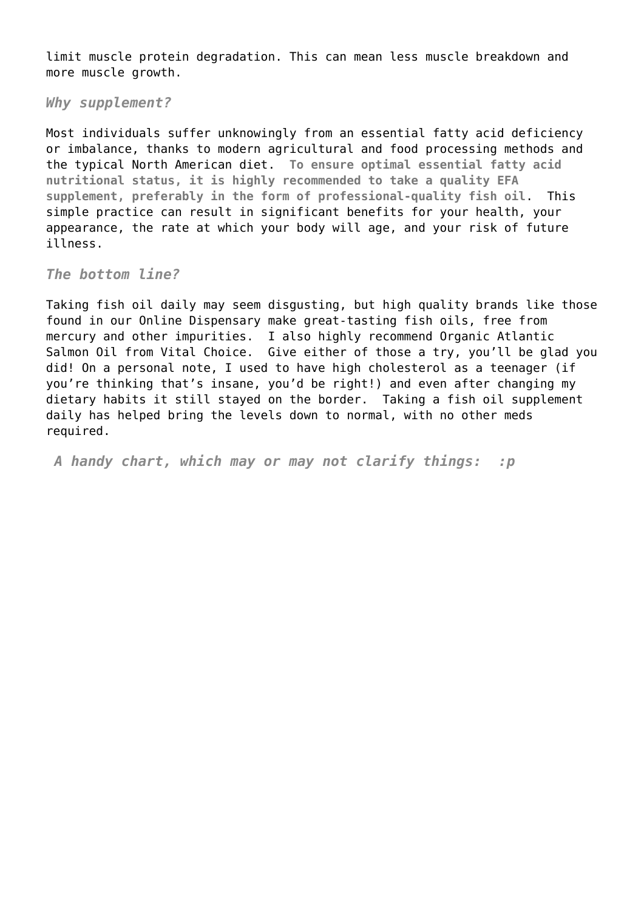limit muscle protein degradation. This can mean less muscle breakdown and more muscle growth.

*Why supplement?*

Most individuals suffer unknowingly from an essential fatty acid deficiency or imbalance, thanks to modern agricultural and food processing methods and the typical North American diet. **To ensure optimal essential fatty acid nutritional status, it is highly recommended to take a quality EFA supplement, preferably in the form of professional-quality fish oil**. This simple practice can result in significant benefits for your health, your appearance, the rate at which your body will age, and your risk of future illness.

*The bottom line?*

Taking fish oil daily may seem disgusting, but high quality brands like those found in our [Online Dispensary](https://realhealthandfitness.com/shop/) make great-tasting fish oils, free from mercury and other impurities. I also highly recommend [Organic Atlantic](https://realhealthandfitness.com/health/omega-3-fatty-acids/) [Salmon Oil](https://realhealthandfitness.com/health/omega-3-fatty-acids/) from Vital Choice. Give either of those a try, you'll be glad you did! On a personal note, I used to have high cholesterol as a teenager (if you're thinking that's insane, you'd be right!) and even after changing my dietary habits it still stayed on the border. Taking a fish oil supplement daily has helped bring the levels down to normal, with no other meds required.

*A handy chart, which may or may not clarify things: :p*